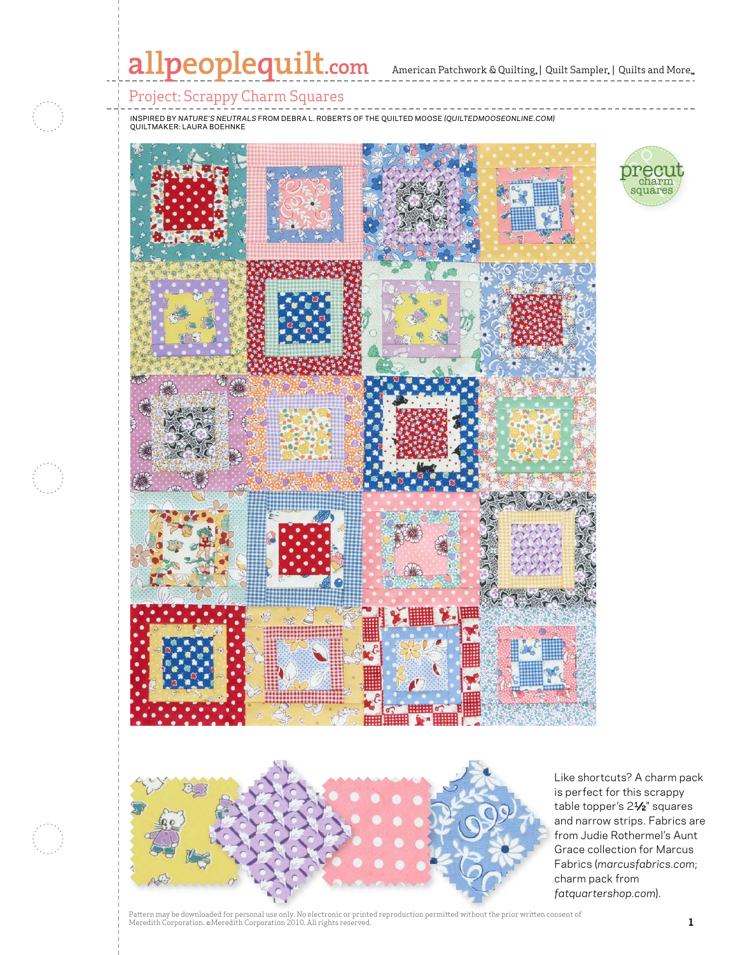# allpeoplequilt.com American Patchwork & Quilting. | Quilt Sampler. | Quilts and More..

## Project: Scrappy Charm Squares

inspired by *Nature's neutrals* from Debra L. Roberts of the Quilted Moose *(Quiltedmooseonline.com)* quiltmaker: Laura Boehnke







Like shortcuts? A charm pack is perfect for this scrappy table topper's 21/2" squares and narrow strips. Fabrics are from Judie Rothermel's Aunt Grace collection for Marcus Fabrics (*marcusfabrics.com*; charm pack from *fatquartershop.com*).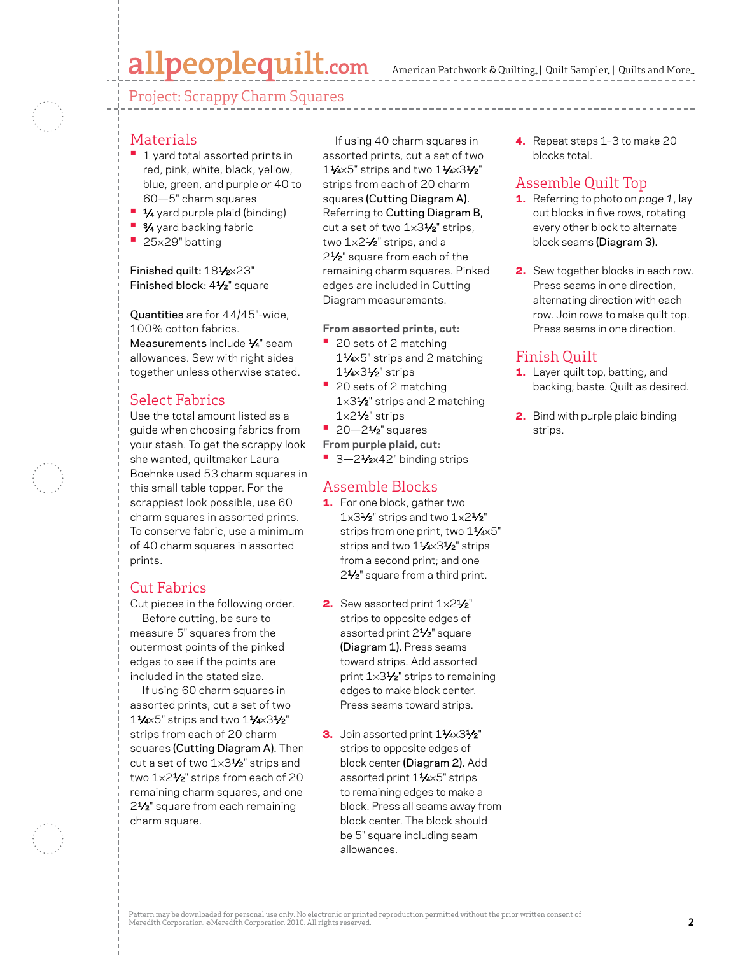## allpeoplequilt.com

American Patchwork & Quilting,  $|$  Quilt Sampler,  $|$  Quilts and More,

Project: Scrappy Charm Squares

#### Materials

- <sup>•</sup> 1 yard total assorted prints in red, pink, white, black, yellow, blue, green, and purple *or* 40 to 60—5" charm squares
- **1⁄4** yard purple plaid (binding)
- **•** 3⁄4 yard backing fabric
- **•**  <sup>25</sup>×29" batting

#### Finished quilt: 181/2×23" Finished block: 41⁄2" square

Quantities are for 44/45"-wide, 100% cotton fabrics. Measurements include 1/4" seam allowances. Sew with right sides together unless otherwise stated.

#### Select Fabrics

Use the total amount listed as a guide when choosing fabrics from your stash. To get the scrappy look she wanted, quiltmaker Laura Boehnke used 53 charm squares in this small table topper. For the scrappiest look possible, use 60 charm squares in assorted prints. To conserve fabric, use a minimum of 40 charm squares in assorted prints.

#### Cut Fabrics

Cut pieces in the following order. Before cutting, be sure to measure 5" squares from the outermost points of the pinked edges to see if the points are included in the stated size.

If using 60 charm squares in assorted prints, cut a set of two  $1\frac{1}{4}$ ×5" strips and two  $1\frac{1}{4}$ ×3 $\frac{1}{2}$ " strips from each of 20 charm squares (Cutting Diagram A). Then cut a set of two 1x31/2" strips and two 1x21/<sub>2</sub>" strips from each of 20 remaining charm squares, and one 2<sup>1</sup>/<sub>2</sub>" square from each remaining charm square.

If using 40 charm squares in assorted prints, cut a set of two 11⁄4×5" strips and two 11⁄4×31⁄2" strips from each of 20 charm squares (Cutting Diagram A). Referring to Cutting Diagram B, cut a set of two  $1\times3\frac{1}{2}$ " strips, two 1×21⁄2" strips, and a 2<sup>1</sup>/<sub>2</sub>" square from each of the remaining charm squares. Pinked edges are included in Cutting Diagram measurements.

**From assorted prints, cut:**

- **•**  20 sets of 2 matching 11⁄4×5" strips and 2 matching 11⁄4×31⁄2" strips
- **•**  20 sets of 2 matching  $1\times3<sup>1</sup>$ /<sub>2</sub>" strips and 2 matching  $1\times2<sup>4</sup>$ /<sub>2</sub>" strips
- **•**  20—21⁄2" squares

**From purple plaid, cut:**

■ 3-21⁄<sub>2×42</sub>" binding strips

#### Assemble Blocks

- 1. For one block, gather two 1×31⁄2" strips and two 1×21⁄2" strips from one print, two 11/4×5" strips and two 11/4×31/2" strips from a second print; and one 2<sup>1</sup>/<sub>2</sub>" square from a third print.
- 2. Sew assorted print  $1 \times 2\frac{1}{2}$ " strips to opposite edges of assorted print 21⁄2" square (Diagram 1). Press seams toward strips. Add assorted print 1×31⁄2" strips to remaining edges to make block center. Press seams toward strips.
- 3. Join assorted print 11/4×31/2" strips to opposite edges of block center (Diagram 2). Add assorted print 11⁄4×5" strips to remaining edges to make a block. Press all seams away from block center. The block should be 5" square including seam allowances.

4. Repeat steps 1-3 to make 20 blocks total.

### Assemble Quilt Top

- 1. Referring to photo on *page 1*, lay out blocks in five rows, rotating every other block to alternate block seams (Diagram 3).
- 2. Sew together blocks in each row. Press seams in one direction, alternating direction with each row. Join rows to make quilt top. Press seams in one direction.

#### Finish Quilt

- 1. Layer quilt top, batting, and backing; baste. Quilt as desired.
- 2. Bind with purple plaid binding strips.